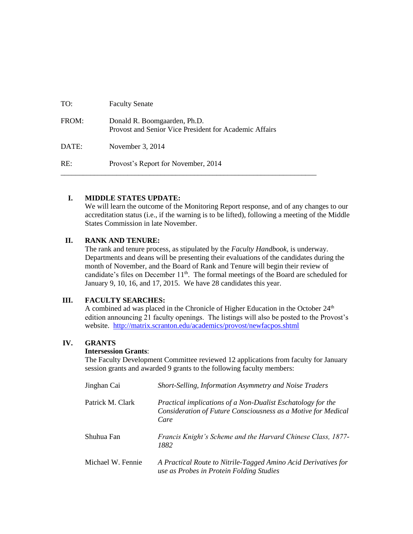| TO:   | <b>Faculty Senate</b>                                                                  |
|-------|----------------------------------------------------------------------------------------|
| FROM: | Donald R. Boomgaarden, Ph.D.<br>Provost and Senior Vice President for Academic Affairs |
| DATE: | November $3, 2014$                                                                     |
| RE:   | Provost's Report for November, 2014                                                    |

# **I. MIDDLE STATES UPDATE:**

We will learn the outcome of the Monitoring Report response, and of any changes to our accreditation status (i.e., if the warning is to be lifted), following a meeting of the Middle States Commission in late November.

# **II. RANK AND TENURE:**

The rank and tenure process, as stipulated by the *Faculty Handbook*, is underway. Departments and deans will be presenting their evaluations of the candidates during the month of November, and the Board of Rank and Tenure will begin their review of candidate's files on December  $11<sup>th</sup>$ . The formal meetings of the Board are scheduled for January 9, 10, 16, and 17, 2015. We have 28 candidates this year.

# **III. FACULTY SEARCHES:**

A combined ad was placed in the Chronicle of Higher Education in the October 24<sup>th</sup> edition announcing 21 faculty openings. The listings will also be posted to the Provost's website. <http://matrix.scranton.edu/academics/provost/newfacpos.shtml>

## **IV. GRANTS**

## **Intersession Grants**:

The Faculty Development Committee reviewed 12 applications from faculty for January session grants and awarded 9 grants to the following faculty members:

| Jinghan Cai       | Short-Selling, Information Asymmetry and Noise Traders                                                                               |
|-------------------|--------------------------------------------------------------------------------------------------------------------------------------|
| Patrick M. Clark  | Practical implications of a Non-Dualist Eschatology for the<br>Consideration of Future Consciousness as a Motive for Medical<br>Care |
| Shuhua Fan        | Francis Knight's Scheme and the Harvard Chinese Class, 1877-<br>1882                                                                 |
| Michael W. Fennie | A Practical Route to Nitrile-Tagged Amino Acid Derivatives for<br>use as Probes in Protein Folding Studies                           |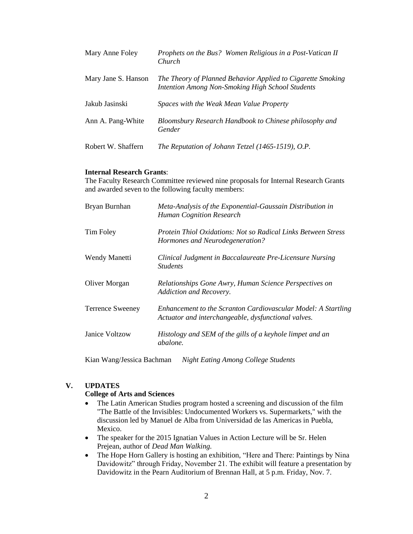| Mary Anne Foley     | Prophets on the Bus? Women Religious in a Post-Vatican II<br>Church                                             |
|---------------------|-----------------------------------------------------------------------------------------------------------------|
| Mary Jane S. Hanson | The Theory of Planned Behavior Applied to Cigarette Smoking<br>Intention Among Non-Smoking High School Students |
| Jakub Jasinski      | Spaces with the Weak Mean Value Property                                                                        |
| Ann A. Pang-White   | Bloomsbury Research Handbook to Chinese philosophy and<br>Gender                                                |
| Robert W. Shaffern  | The Reputation of Johann Tetzel (1465-1519), O.P.                                                               |

#### **Internal Research Grants**:

The Faculty Research Committee reviewed nine proposals for Internal Research Grants and awarded seven to the following faculty members:

| Bryan Burnhan           | Meta-Analysis of the Exponential-Gaussain Distribution in<br><b>Human Cognition Research</b>                         |
|-------------------------|----------------------------------------------------------------------------------------------------------------------|
| Tim Foley               | Protein Thiol Oxidations: Not so Radical Links Between Stress<br>Hormones and Neurodegeneration?                     |
| Wendy Manetti           | Clinical Judgment in Baccalaureate Pre-Licensure Nursing<br><b>Students</b>                                          |
| Oliver Morgan           | Relationships Gone Awry, Human Science Perspectives on<br>Addiction and Recovery.                                    |
| <b>Terrence Sweeney</b> | Enhancement to the Scranton Cardiovascular Model: A Startling<br>Actuator and interchangeable, dysfunctional valves. |
| Janice Voltzow          | Histology and SEM of the gills of a keyhole limpet and an<br>abalone.                                                |

Kian Wang/Jessica Bachman *Night Eating Among College Students*

#### **V. UPDATES**

## **College of Arts and Sciences**

- The Latin American Studies program hosted a screening and discussion of the film "The Battle of the Invisibles: Undocumented Workers vs. Supermarkets," with the discussion led by Manuel de Alba from Universidad de las Americas in Puebla, Mexico.
- The speaker for the 2015 Ignatian Values in Action Lecture will be Sr. Helen Prejean, author of *Dead Man Walking.*
- The Hope Horn Gallery is hosting an exhibition, "Here and There: Paintings by Nina Davidowitz" through Friday, November 21. The exhibit will feature a presentation by Davidowitz in the Pearn Auditorium of Brennan Hall, at 5 p.m. Friday, Nov. 7.